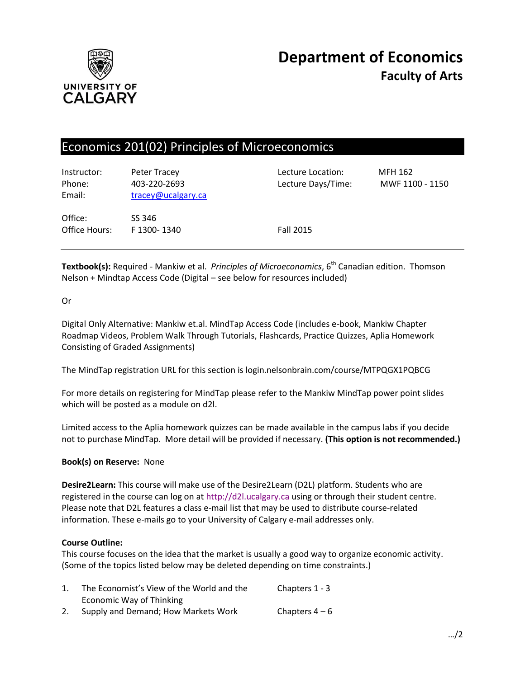

# Economics 201(02) Principles of Microeconomics

| Instructor:<br>Phone:<br>Email: | Peter Tracey<br>403-220-2693<br>tracey@ucalgary.ca | Lecture Location:<br>Lecture Days/Time: | MFH 162<br>MWF 1100 - 1150 |
|---------------------------------|----------------------------------------------------|-----------------------------------------|----------------------------|
| Office:<br>Office Hours:        | SS 346<br>F 1300-1340                              | <b>Fall 2015</b>                        |                            |

**Textbook(s):** Required - Mankiw et al. *Principles of Microeconomics*, 6<sup>th</sup> Canadian edition. Thomson Nelson + Mindtap Access Code (Digital – see below for resources included)

## Or

Digital Only Alternative: Mankiw et.al. MindTap Access Code (includes e-book, Mankiw Chapter Roadmap Videos, Problem Walk Through Tutorials, Flashcards, Practice Quizzes, Aplia Homework Consisting of Graded Assignments)

The MindTap registration URL for this section is login.nelsonbrain.com/course/MTPQGX1PQBCG

For more details on registering for MindTap please refer to the Mankiw MindTap power point slides which will be posted as a module on d2l.

Limited access to the Aplia homework quizzes can be made available in the campus labs if you decide not to purchase MindTap. More detail will be provided if necessary. **(This option is not recommended.)**

### **Book(s) on Reserve:** None

**Desire2Learn:** This course will make use of the Desire2Learn (D2L) platform. Students who are registered in the course can log on at [http://d2l.ucalgary.ca](http://d2l.ucalgary.ca/) using or through their student centre. Please note that D2L features a class e-mail list that may be used to distribute course-related information. These e-mails go to your University of Calgary e-mail addresses only.

### **Course Outline:**

This course focuses on the idea that the market is usually a good way to organize economic activity. (Some of the topics listed below may be deleted depending on time constraints.)

| The Economist's View of the World and the | Chapters 1 - 3 |
|-------------------------------------------|----------------|
| Economic Way of Thinking                  |                |
| Supply and Demand; How Markets Work       | Chapters $4-6$ |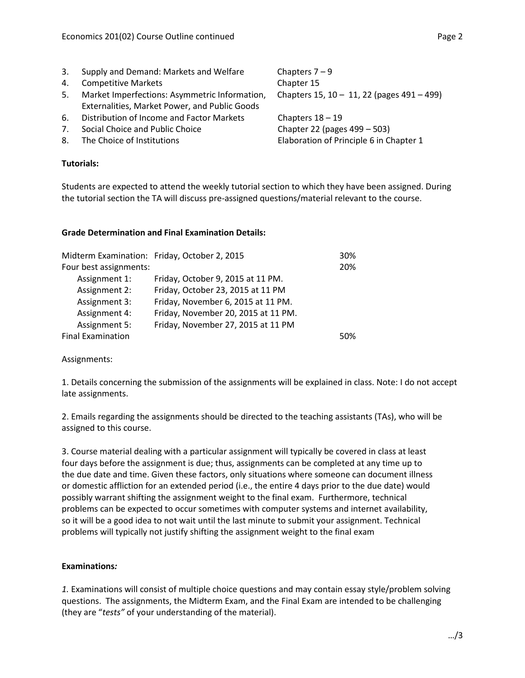- 3. Supply and Demand: Markets and Welfare Chapters  $7 9$ 4. Competitive Markets **Chapter 15**
- 5. Market Imperfections: Asymmetric Information, Externalities, Market Power, and Public Goods
- 6. Distribution of Income and Factor Markets Chapters 18 19
- 7. Social Choice and Public Choice Chapter 22 (pages 499 503)
- 

## **Tutorials:**

Chapters 15, 10 – 11, 22 (pages 491 – 499)

8. The Choice of Institutions **Elaboration of Principle 6 in Chapter 1** 

Students are expected to attend the weekly tutorial section to which they have been assigned. During the tutorial section the TA will discuss pre-assigned questions/material relevant to the course.

## **Grade Determination and Final Examination Details:**

|                          | Midterm Examination: Friday, October 2, 2015 | 30% |
|--------------------------|----------------------------------------------|-----|
| Four best assignments:   |                                              | 20% |
| Assignment 1:            | Friday, October 9, 2015 at 11 PM.            |     |
| Assignment 2:            | Friday, October 23, 2015 at 11 PM            |     |
| Assignment 3:            | Friday, November 6, 2015 at 11 PM.           |     |
| Assignment 4:            | Friday, November 20, 2015 at 11 PM.          |     |
| <b>Assignment 5:</b>     | Friday, November 27, 2015 at 11 PM           |     |
| <b>Final Examination</b> |                                              | 50% |

Assignments:

1. Details concerning the submission of the assignments will be explained in class. Note: I do not accept late assignments.

2. Emails regarding the assignments should be directed to the teaching assistants (TAs), who will be assigned to this course.

3. Course material dealing with a particular assignment will typically be covered in class at least four days before the assignment is due; thus, assignments can be completed at any time up to the due date and time. Given these factors, only situations where someone can document illness or domestic affliction for an extended period (i.e., the entire 4 days prior to the due date) would possibly warrant shifting the assignment weight to the final exam. Furthermore, technical problems can be expected to occur sometimes with computer systems and internet availability, so it will be a good idea to not wait until the last minute to submit your assignment. Technical problems will typically not justify shifting the assignment weight to the final exam

# **Examinations***:*

*1.* Examinations will consist of multiple choice questions and may contain essay style/problem solving questions. The assignments, the Midterm Exam, and the Final Exam are intended to be challenging (they are "*tests"* of your understanding of the material).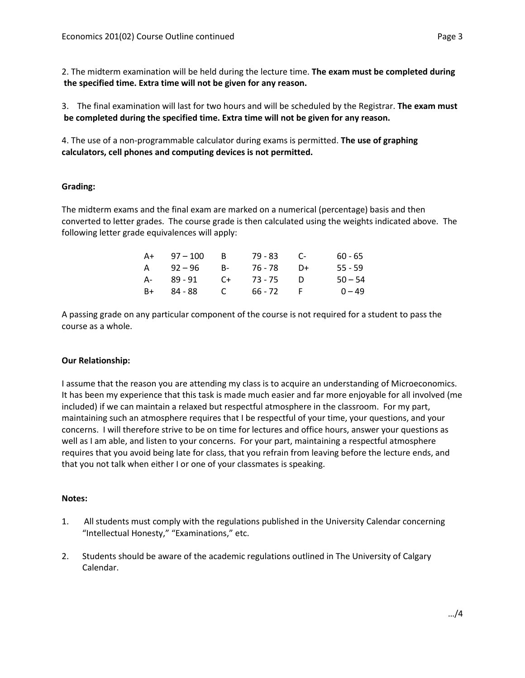2. The midterm examination will be held during the lecture time. **The exam must be completed during the specified time. Extra time will not be given for any reason.**

3. The final examination will last for two hours and will be scheduled by the Registrar. **The exam must be completed during the specified time. Extra time will not be given for any reason.**

4. The use of a non-programmable calculator during exams is permitted. **The use of graphing calculators, cell phones and computing devices is not permitted.** 

## **Grading:**

The midterm exams and the final exam are marked on a numerical (percentage) basis and then converted to letter grades. The course grade is then calculated using the weights indicated above. The following letter grade equivalences will apply:

| A+   | $97 - 100$ | - B  | 79 - 83 | - C- | $60 - 65$ |
|------|------------|------|---------|------|-----------|
| A    | 92 – 96    | $B-$ | 76 - 78 | $D+$ | $55 - 59$ |
| A-   | 89 - 91    | C+   | 73 - 75 | - 1) | $50 - 54$ |
| $B+$ | 84 - 88    | C    | 66 - 72 |      | $0 - 49$  |

A passing grade on any particular component of the course is not required for a student to pass the course as a whole.

### **Our Relationship:**

I assume that the reason you are attending my class is to acquire an understanding of Microeconomics. It has been my experience that this task is made much easier and far more enjoyable for all involved (me included) if we can maintain a relaxed but respectful atmosphere in the classroom. For my part, maintaining such an atmosphere requires that I be respectful of your time, your questions, and your concerns. I will therefore strive to be on time for lectures and office hours, answer your questions as well as I am able, and listen to your concerns. For your part, maintaining a respectful atmosphere requires that you avoid being late for class, that you refrain from leaving before the lecture ends, and that you not talk when either I or one of your classmates is speaking.

### **Notes:**

- 1. All students must comply with the regulations published in the University Calendar concerning "Intellectual Honesty," "Examinations," etc.
- 2. Students should be aware of the academic regulations outlined in The University of Calgary Calendar.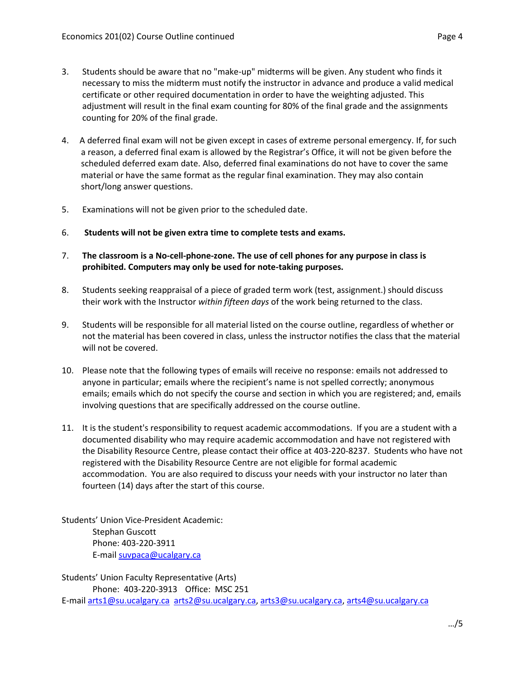- 3. Students should be aware that no "make-up" midterms will be given. Any student who finds it necessary to miss the midterm must notify the instructor in advance and produce a valid medical certificate or other required documentation in order to have the weighting adjusted. This adjustment will result in the final exam counting for 80% of the final grade and the assignments counting for 20% of the final grade.
- 4. A deferred final exam will not be given except in cases of extreme personal emergency. If, for such a reason, a deferred final exam is allowed by the Registrar's Office, it will not be given before the scheduled deferred exam date. Also, deferred final examinations do not have to cover the same material or have the same format as the regular final examination. They may also contain short/long answer questions.
- 5. Examinations will not be given prior to the scheduled date.
- 6. **Students will not be given extra time to complete tests and exams.**
- 7. **The classroom is a No-cell-phone-zone. The use of cell phones for any purpose in class is prohibited. Computers may only be used for note-taking purposes.**
- 8. Students seeking reappraisal of a piece of graded term work (test, assignment.) should discuss their work with the Instructor *within fifteen days* of the work being returned to the class.
- 9. Students will be responsible for all material listed on the course outline, regardless of whether or not the material has been covered in class, unless the instructor notifies the class that the material will not be covered.
- 10. Please note that the following types of emails will receive no response: emails not addressed to anyone in particular; emails where the recipient's name is not spelled correctly; anonymous emails; emails which do not specify the course and section in which you are registered; and, emails involving questions that are specifically addressed on the course outline.
- 11. It is the student's responsibility to request academic accommodations. If you are a student with a documented disability who may require academic accommodation and have not registered with the Disability Resource Centre, please contact their office at 403-220-8237. Students who have not registered with the Disability Resource Centre are not eligible for formal academic accommodation. You are also required to discuss your needs with your instructor no later than fourteen (14) days after the start of this course.

Students' Union Vice-President Academic: Stephan Guscott Phone: 403-220-3911 E-mai[l suvpaca@ucalgary.ca](mailto:subpaca@ucalgary.ca)

Students' Union Faculty Representative (Arts) Phone: 403-220-3913 Office: MSC 251 E-mai[l arts1@su.ucalgary.ca](mailto:arts1@su.ucalgary.ca) [arts2@su.ucalgary.ca,](mailto:arts2@su.ucalgary.ca) [arts3@su.ucalgary.ca,](mailto:arts3@su.ucalgary.ca) [arts4@su.ucalgary.ca](mailto:arts4@su.ucalgary.ca)